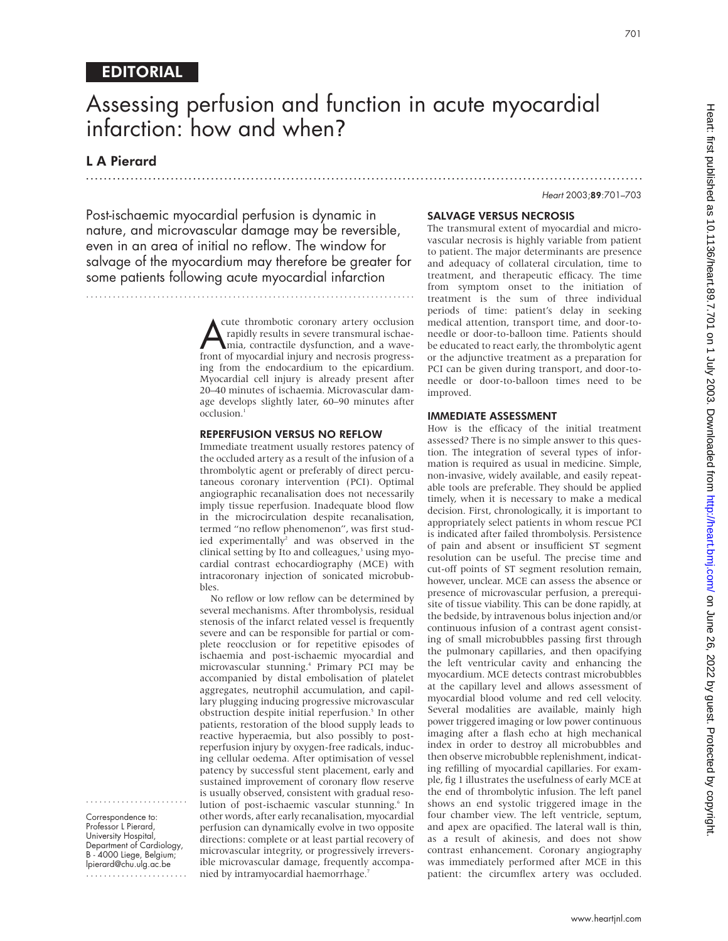## EDITORIAL

# Assessing perfusion and function in acute myocardial infarction: how and when?

.............................................................................................................................

## L A Pierard

Post-ischaemic myocardial perfusion is dynamic in nature, and microvascular damage may be reversible, even in an area of initial no reflow. The window for salvage of the myocardium may therefore be greater for some patients following acute myocardial infarction

### ..........................................................................

The thrombotic coronary artery occlusion<br>trapidly results in severe transmural ischae-<br>front of myocardial injury and necrosis progresscute thrombotic coronary artery occlusion rapidly results in severe transmural ischaemia, contractile dysfunction, and a waveing from the endocardium to the epicardium. Myocardial cell injury is already present after 20–40 minutes of ischaemia. Microvascular damage develops slightly later, 60–90 minutes after occlusion.<sup>1</sup>

#### REPERFUSION VERSUS NO REFLOW

Immediate treatment usually restores patency of the occluded artery as a result of the infusion of a thrombolytic agent or preferably of direct percutaneous coronary intervention (PCI). Optimal angiographic recanalisation does not necessarily imply tissue reperfusion. Inadequate blood flow in the microcirculation despite recanalisation, termed "no reflow phenomenon", was first studied experimentally<sup>2</sup> and was observed in the clinical setting by Ito and colleagues,<sup>3</sup> using myocardial contrast echocardiography (MCE) with intracoronary injection of sonicated microbubbles.

No reflow or low reflow can be determined by several mechanisms. After thrombolysis, residual stenosis of the infarct related vessel is frequently severe and can be responsible for partial or complete reocclusion or for repetitive episodes of ischaemia and post-ischaemic myocardial and microvascular stunning.4 Primary PCI may be accompanied by distal embolisation of platelet aggregates, neutrophil accumulation, and capillary plugging inducing progressive microvascular obstruction despite initial reperfusion.<sup>5</sup> In other patients, restoration of the blood supply leads to reactive hyperaemia, but also possibly to postreperfusion injury by oxygen-free radicals, inducing cellular oedema. After optimisation of vessel patency by successful stent placement, early and sustained improvement of coronary flow reserve is usually observed, consistent with gradual resolution of post-ischaemic vascular stunning.<sup>6</sup> In other words, after early recanalisation, myocardial perfusion can dynamically evolve in two opposite directions: complete or at least partial recovery of microvascular integrity, or progressively irreversible microvascular damage, frequently accompanied by intramyocardial haemorrhage.7

#### SALVAGE VERSUS NECROSIS

The transmural extent of myocardial and microvascular necrosis is highly variable from patient to patient. The major determinants are presence and adequacy of collateral circulation, time to treatment, and therapeutic efficacy. The time from symptom onset to the initiation of treatment is the sum of three individual periods of time: patient's delay in seeking medical attention, transport time, and door-toneedle or door-to-balloon time. Patients should be educated to react early, the thrombolytic agent or the adjunctive treatment as a preparation for PCI can be given during transport, and door-toneedle or door-to-balloon times need to be improved.

#### IMMEDIATE ASSESSMENT

How is the efficacy of the initial treatment assessed? There is no simple answer to this question. The integration of several types of information is required as usual in medicine. Simple, non-invasive, widely available, and easily repeatable tools are preferable. They should be applied timely, when it is necessary to make a medical decision. First, chronologically, it is important to appropriately select patients in whom rescue PCI is indicated after failed thrombolysis. Persistence of pain and absent or insufficient ST segment resolution can be useful. The precise time and cut-off points of ST segment resolution remain, however, unclear. MCE can assess the absence or presence of microvascular perfusion, a prerequisite of tissue viability. This can be done rapidly, at the bedside, by intravenous bolus injection and/or continuous infusion of a contrast agent consisting of small microbubbles passing first through the pulmonary capillaries, and then opacifying the left ventricular cavity and enhancing the myocardium. MCE detects contrast microbubbles at the capillary level and allows assessment of myocardial blood volume and red cell velocity. Several modalities are available, mainly high power triggered imaging or low power continuous imaging after a flash echo at high mechanical index in order to destroy all microbubbles and then observe microbubble replenishment, indicating refilling of myocardial capillaries. For example, fig 1 illustrates the usefulness of early MCE at the end of thrombolytic infusion. The left panel shows an end systolic triggered image in the four chamber view. The left ventricle, septum, and apex are opacified. The lateral wall is thin, as a result of akinesis, and does not show contrast enhancement. Coronary angiography was immediately performed after MCE in this patient: the circumflex artery was occluded.

www.heartjnl.com

Correspondence to: Professor L Pierard, University Hospital, Department of Cardiology, B - 4000 Liege, Belgium; lpierard@chu.ulg.ac.be .......................

.......................

Heart 2003;89:701–703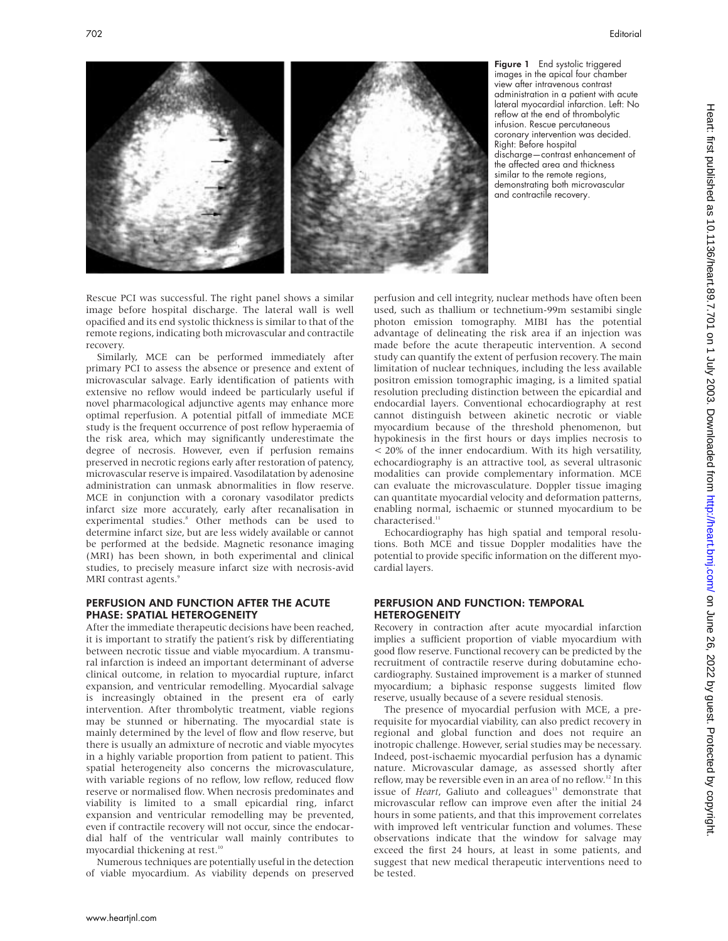

Figure 1 End systolic triggered images in the apical four chamber view after intravenous contrast administration in a patient with acute lateral myocardial infarction. Left: No reflow at the end of thrombolytic infusion. Rescue percutaneous coronary intervention was decided. Right: Before hospital discharge—contrast enhancement of the affected area and thickness similar to the remote regions, demonstrating both microvascular and contractile recovery.

Rescue PCI was successful. The right panel shows a similar image before hospital discharge. The lateral wall is well opacified and its end systolic thickness is similar to that of the remote regions, indicating both microvascular and contractile recovery.

Similarly, MCE can be performed immediately after primary PCI to assess the absence or presence and extent of microvascular salvage. Early identification of patients with extensive no reflow would indeed be particularly useful if novel pharmacological adjunctive agents may enhance more optimal reperfusion. A potential pitfall of immediate MCE study is the frequent occurrence of post reflow hyperaemia of the risk area, which may significantly underestimate the degree of necrosis. However, even if perfusion remains preserved in necrotic regions early after restoration of patency, microvascular reserve is impaired. Vasodilatation by adenosine administration can unmask abnormalities in flow reserve. MCE in conjunction with a coronary vasodilator predicts infarct size more accurately, early after recanalisation in experimental studies.<sup>8</sup> Other methods can be used to determine infarct size, but are less widely available or cannot be performed at the bedside. Magnetic resonance imaging (MRI) has been shown, in both experimental and clinical studies, to precisely measure infarct size with necrosis-avid MRI contrast agents.<sup>9</sup>

#### PERFUSION AND FUNCTION AFTER THE ACUTE PHASE: SPATIAL HETEROGENEITY

After the immediate therapeutic decisions have been reached, it is important to stratify the patient's risk by differentiating between necrotic tissue and viable myocardium. A transmural infarction is indeed an important determinant of adverse clinical outcome, in relation to myocardial rupture, infarct expansion, and ventricular remodelling. Myocardial salvage is increasingly obtained in the present era of early intervention. After thrombolytic treatment, viable regions may be stunned or hibernating. The myocardial state is mainly determined by the level of flow and flow reserve, but there is usually an admixture of necrotic and viable myocytes in a highly variable proportion from patient to patient. This spatial heterogeneity also concerns the microvasculature, with variable regions of no reflow, low reflow, reduced flow reserve or normalised flow. When necrosis predominates and viability is limited to a small epicardial ring, infarct expansion and ventricular remodelling may be prevented, even if contractile recovery will not occur, since the endocardial half of the ventricular wall mainly contributes to myocardial thickening at rest.<sup>10</sup>

Numerous techniques are potentially useful in the detection of viable myocardium. As viability depends on preserved

perfusion and cell integrity, nuclear methods have often been used, such as thallium or technetium-99m sestamibi single photon emission tomography. MIBI has the potential advantage of delineating the risk area if an injection was made before the acute therapeutic intervention. A second study can quantify the extent of perfusion recovery. The main limitation of nuclear techniques, including the less available positron emission tomographic imaging, is a limited spatial resolution precluding distinction between the epicardial and endocardial layers. Conventional echocardiography at rest cannot distinguish between akinetic necrotic or viable myocardium because of the threshold phenomenon, but hypokinesis in the first hours or days implies necrosis to < 20% of the inner endocardium. With its high versatility, echocardiography is an attractive tool, as several ultrasonic modalities can provide complementary information. MCE can evaluate the microvasculature. Doppler tissue imaging can quantitate myocardial velocity and deformation patterns, enabling normal, ischaemic or stunned myocardium to be characterised.<sup>11</sup>

Echocardiography has high spatial and temporal resolutions. Both MCE and tissue Doppler modalities have the potential to provide specific information on the different myocardial layers.

#### PERFUSION AND FUNCTION: TEMPORAL **HETEROGENEITY**

Recovery in contraction after acute myocardial infarction implies a sufficient proportion of viable myocardium with good flow reserve. Functional recovery can be predicted by the recruitment of contractile reserve during dobutamine echocardiography. Sustained improvement is a marker of stunned myocardium; a biphasic response suggests limited flow reserve, usually because of a severe residual stenosis.

The presence of myocardial perfusion with MCE, a prerequisite for myocardial viability, can also predict recovery in regional and global function and does not require an inotropic challenge. However, serial studies may be necessary. Indeed, post-ischaemic myocardial perfusion has a dynamic nature. Microvascular damage, as assessed shortly after reflow, may be reversible even in an area of no reflow.12 In this issue of *Heart*, Galiuto and colleagues<sup>13</sup> demonstrate that microvascular reflow can improve even after the initial 24 hours in some patients, and that this improvement correlates with improved left ventricular function and volumes. These observations indicate that the window for salvage may exceed the first 24 hours, at least in some patients, and suggest that new medical therapeutic interventions need to be tested.